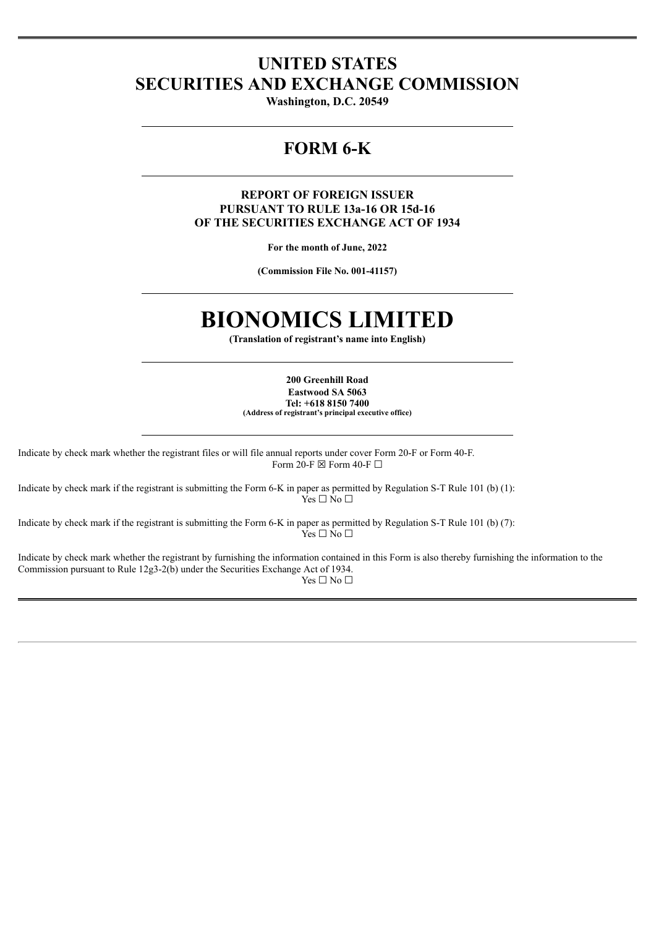## **UNITED STATES SECURITIES AND EXCHANGE COMMISSION**

**Washington, D.C. 20549**

## **FORM 6-K**

#### **REPORT OF FOREIGN ISSUER PURSUANT TO RULE 13a-16 OR 15d-16 OF THE SECURITIES EXCHANGE ACT OF 1934**

**For the month of June, 2022**

**(Commission File No. 001-41157)**

# **BIONOMICS LIMITED**

**(Translation of registrant's name into English)**

**200 Greenhill Road Eastwood SA 5063 Tel: +618 8150 7400 (Address of registrant's principal executive office)**

Indicate by check mark whether the registrant files or will file annual reports under cover Form 20-F or Form 40-F. Form 20-F  $\boxtimes$  Form 40-F  $\Box$ 

Indicate by check mark if the registrant is submitting the Form 6-K in paper as permitted by Regulation S-T Rule 101 (b) (1):  $\hat{Y}$ es  $\Box$  No  $\Box$ 

Indicate by check mark if the registrant is submitting the Form 6-K in paper as permitted by Regulation S-T Rule 101 (b) (7): Yes □ No □

Indicate by check mark whether the registrant by furnishing the information contained in this Form is also thereby furnishing the information to the Commission pursuant to Rule 12g3-2(b) under the Securities Exchange Act of 1934. Yes  $\Box$  No  $\Box$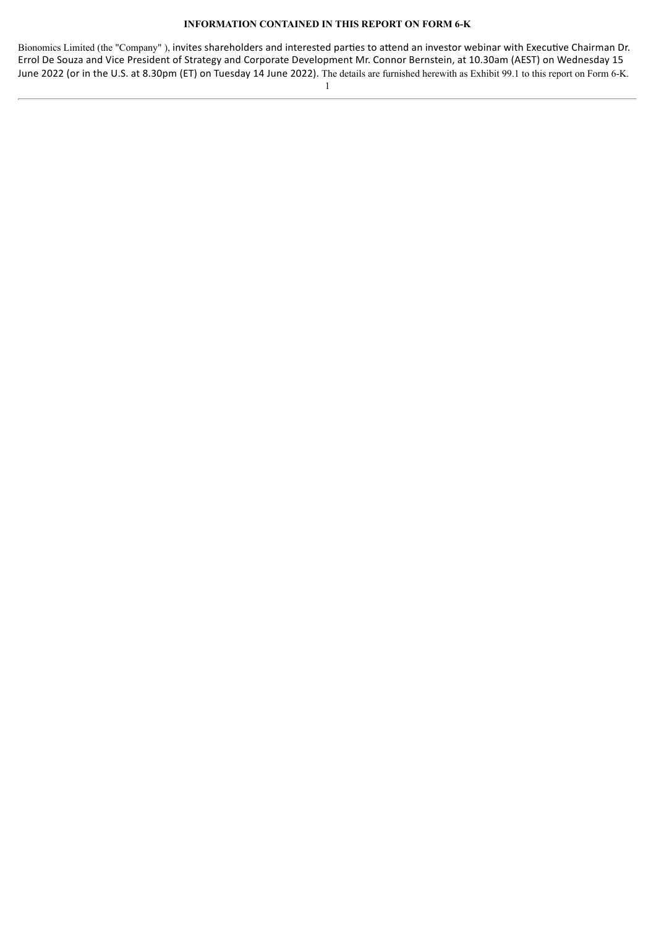#### **INFORMATION CONTAINED IN THIS REPORT ON FORM 6-K**

Bionomics Limited (the "Company" ), invites shareholders and interested parties to attend an investor webinar with Executive Chairman Dr. Errol De Souza and Vice President of Strategy and Corporate Development Mr. Connor Bernstein, at 10.30am (AEST) on Wednesday 15 June 2022 (or in the U.S. at 8.30pm (ET) on Tuesday 14 June 2022). The details are furnished herewith as Exhibit 99.1 to this report on Form 6-K.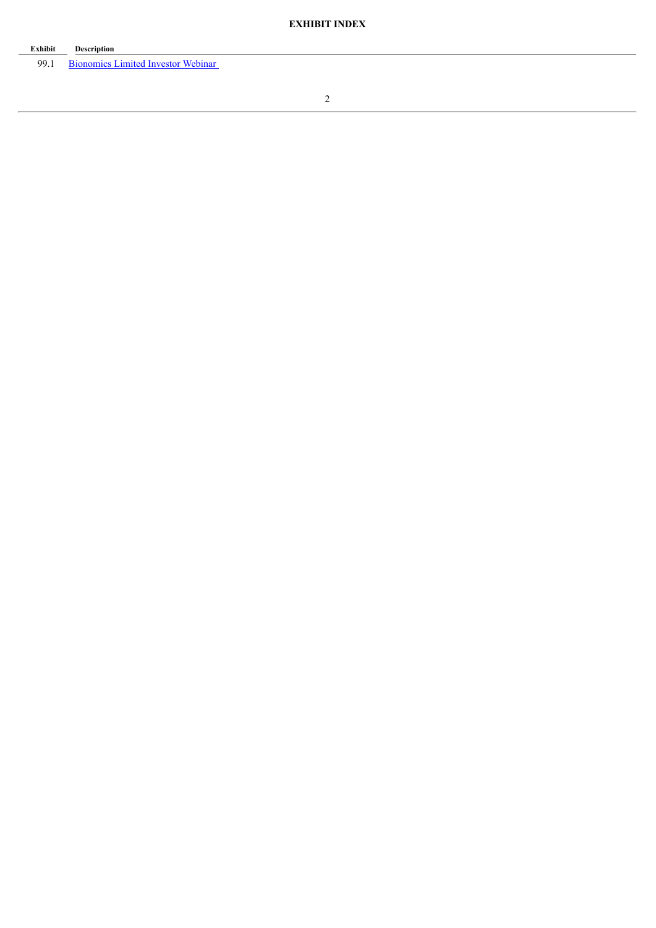| Exhibit | <b>Description</b>                      |
|---------|-----------------------------------------|
|         | 99.1 Bionomics Limited Investor Webinar |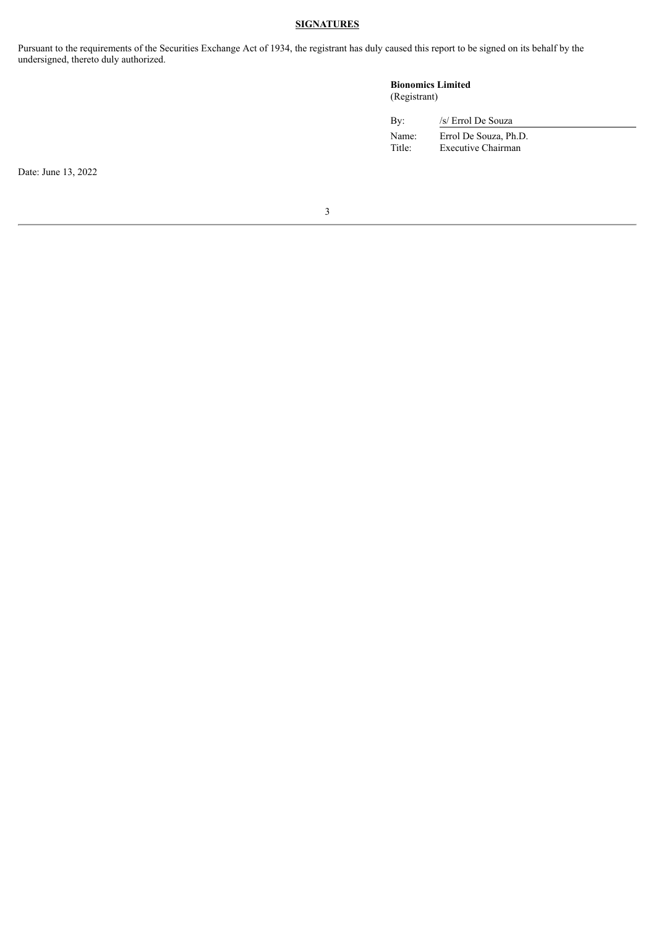#### **SIGNATURES**

Pursuant to the requirements of the Securities Exchange Act of 1934, the registrant has duly caused this report to be signed on its behalf by the undersigned, thereto duly authorized.

#### **Bionomics Limited** (Registrant)

| Bv:    | /s/ Errol De Souza    |
|--------|-----------------------|
| Name:  | Errol De Souza, Ph.D. |
| Title: | Executive Chairman    |

Date: June 13, 2022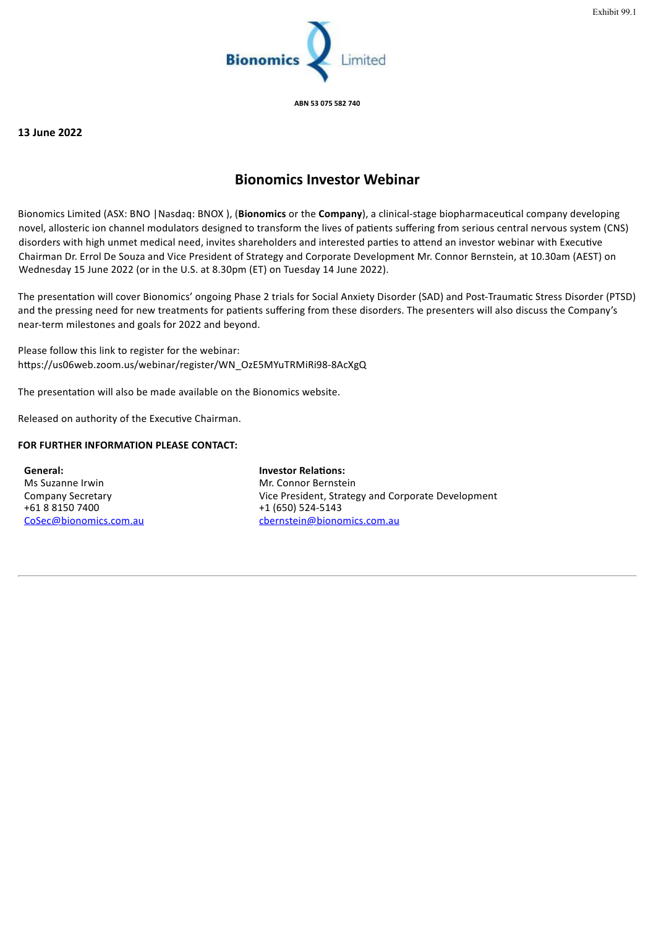

**ABN 53 075 582 740**

#### <span id="page-4-0"></span>**13 June 2022**

### **Bionomics Investor Webinar**

Bionomics Limited (ASX: BNO |Nasdaq: BNOX ), (**Bionomics** or the **Company**), a clinical-stage biopharmaceutical company developing novel, allosteric ion channel modulators designed to transform the lives of patients suffering from serious central nervous system (CNS) disorders with high unmet medical need, invites shareholders and interested parties to attend an investor webinar with Executive Chairman Dr. Errol De Souza and Vice President of Strategy and Corporate Development Mr. Connor Bernstein, at 10.30am (AEST) on Wednesday 15 June 2022 (or in the U.S. at 8.30pm (ET) on Tuesday 14 June 2022).

The presentation will cover Bionomics' ongoing Phase 2 trials for Social Anxiety Disorder (SAD) and Post-Traumatic Stress Disorder (PTSD) and the pressing need for new treatments for patients suffering from these disorders. The presenters will also discuss the Company's near-term milestones and goals for 2022 and beyond.

Please follow this link to register for the webinar: https://us06web.zoom.us/webinar/register/WN\_OzE5MYuTRMiRi98-8AcXgQ

The presentation will also be made available on the Bionomics website.

Released on authority of the Executive Chairman.

#### **FOR FURTHER INFORMATION PLEASE CONTACT:**

**General:** Ms Suzanne Irwin Company Secretary +61 8 8150 7400 CoSec@bionomics.com.au **Investor Relations:** Mr. Connor Bernstein Vice President, Strategy and Corporate Development +1 (650) 524-5143 cbernstein@bionomics.com.au